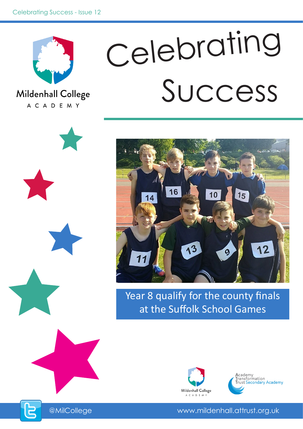

Mildenhall College A C A D E M Y











Year 8 qualify for the county finals at the Suffolk School Games





@MilCollege www.mildenhall.attrust.org.uk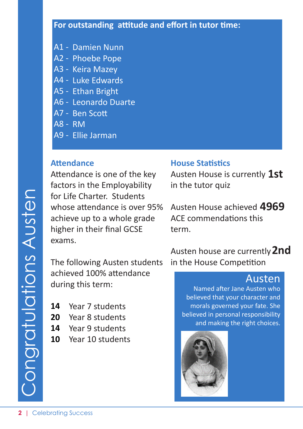- A1 Damien Nunn
- A2 Phoebe Pope
- A3 Keira Mazey
- A4 Luke Edwards
- A5 Ethan Bright
- A6 Leonardo Duarte
- A7 Ben Scott
- A8 RM
- A9 Ellie Jarman

#### **Attendance**

Attendance is one of the key factors in the Employability for Life Charter. Students whose attendance is over 95% achieve up to a whole grade higher in their final GCSE exams.

The following Austen students achieved 100% attendance during this term:

- Year 7 students **14**
- Year 8 students **20**
- Year 9 students **14**
- Year 10 students **10**

#### **House Statistics**

Austen House is currently **1st** in the tutor quiz

Austen House achieved **4969** ACE commendations this term.

Austen house are currently **2nd**in the House Competition

# Austen

Named after Jane Austen who believed that your character and morals governed your fate. She believed in personal responsibility and making the right choices.

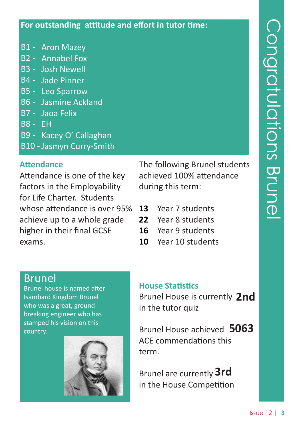- B1 Aron Mazey
- B2 Annabel Fox
- B3 Josh Newell
- B4 Jade Pinner
- B5 Leo Sparrow
- B6 Jasmine Ackland
- B7 Jaoa Felix
- B8 EH
- B9 Kacey O' Callaghan
- B10 Jasmyn Curry-Smith

#### **Attendance**

Attendance is one of the key factors in the Employability for Life Charter. Students whose attendance is over 95% achieve up to a whole grade higher in their final GCSE exams.

The following Brunel students achieved 100% attendance during this term:

- Year 7 students **13**
- Year 8 students **22**
- Year 9 students **16**
- Year 10 students **10**

# Brunel

Brunel house is named after Isambard Kingdom Brunel who was a great, ground breaking engineer who has stamped his vision on this country.

![](_page_2_Picture_20.jpeg)

#### **House Statistics**

Brunel House is currently **2nd** in the tutor quiz

Brunel House achieved **5063** ACE commendations this term.

Brunel are currently **3rd**in the House Competition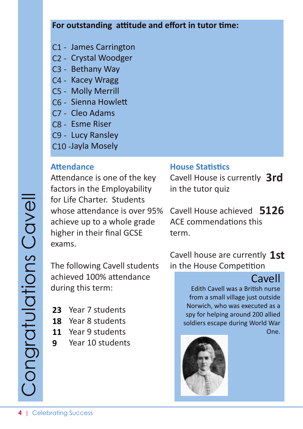- C1 James Carrington
- C2 Crystal Woodger
- C3 Bethany Way
- C4 Kacey Wragg
- C5 Molly Merrill
- C6 Sienna Howlett
- C7 Cleo Adams
- C8 Esme Riser
- C9 Lucy Ransley
- C10 Jayla Mosely

#### **Attendance**

Attendance is one of the key factors in the Employability for Life Charter. Students whose attendance is over 95% achieve up to a whole grade higher in their final GCSE exams.

The following Cavell students achieved 100% attendance during this term:

- 23 Year 7 students
- 18 Year 8 students
- 11 Year 9 students
- Year 10 students **9**

#### **House Statistics**

Cavell House is currently **3rd** in the tutor quiz

Cavell House achieved **5126** ACE commendations this term.

Cavell house are currently **1st**in the House Competition

# **Cavell**

Edith Cavell was a British nurse from a small village just outside Norwich, who was executed as a spy for helping around 200 allied soldiers escape during World War One.

![](_page_3_Picture_24.jpeg)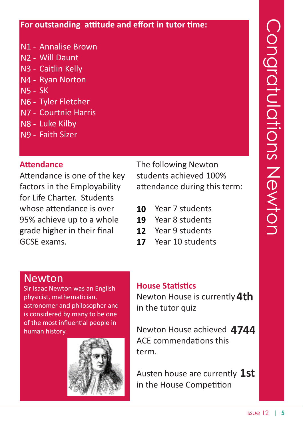- N1 Annalise Brown
- N2 Will Daunt
- N3 Caitlin Kelly
- N4 Ryan Norton
- N5 SK
- N6 Tyler Fletcher
- N7 Courtnie Harris
- N8 Luke Kilby
- N9 Faith Sizer

# **Attendance**

Attendance is one of the key factors in the Employability for Life Charter. Students whose attendance is over 95% achieve up to a whole grade higher in their final GCSE exams.

The following Newton students achieved 100% attendance during this term:

- Year 7 students **10**
- Year 8 students **19**
- Year 9 students **12**
- Year 10 students **17**

# Newton

Sir Isaac Newton was an English physicist, mathematician, astronomer and philosopher and is considered by many to be one of the most influential people in human history.

![](_page_4_Picture_19.jpeg)

# **House Statistics**

Newton House is currently **4th** in the tutor quiz

Newton House achieved **4744** ACE commendations this term.

Austen house are currently **1st**in the House Competition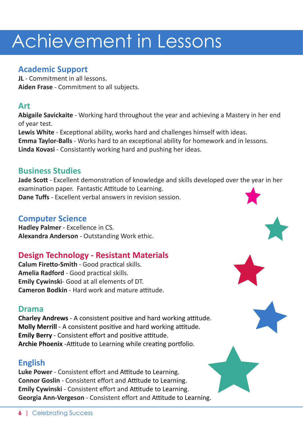### **Academic Support**

**JL** - Commitment in all lessons. **Aiden Frase** - Commitment to all subjects.

#### **Art**

**Abigaile Savickaite** - Working hard throughout the year and achieving a Mastery in her end of year test.

**Lewis White** - Exceptional ability, works hard and challenges himself with ideas. **Emma Taylor-Balls** - Works hard to an exceptional ability for homework and in lessons. **Linda Kovasi** - Consistantly working hard and pushing her ideas.

#### **Business Studies**

**Jade Scott** - Excellent demonstration of knowledge and skills developed over the year in her examination paper. Fantastic Attitude to Learning. **Dane Tuffs** - Excellent verbal answers in revision session.

#### **Computer Science**

**Hadley Palmer** - Excellence in CS. **Alexandra Anderson** - Outstanding Work ethic.

# **Design Technology - Resistant Materials**

**Calum Firetto-Smith** - Good practical skills. **Amelia Radford** - Good practical skills. **Emily Cywinski**- Good at all elements of DT. **Cameron Bodkin** - Hard work and mature attitude.

#### **Drama**

**Charley Andrews** - A consistent positive and hard working attitude. **Molly Merrill** - A consistent positive and hard working attitude. **Emily Berry** - Consistent effort and positive attitude. **Archie Phoenix** -Attitude to Learning while creating portfolio.

#### **English**

**Luke Power** - Consistent effort and Attitude to Learning. **Connor Goslin** - Consistent effort and Attitude to Learning. **Emily Cywinski** - Consistent effort and Attitude to Learning. **Georgia Ann-Vergeson** - Consistent effort and Attitude to Learning.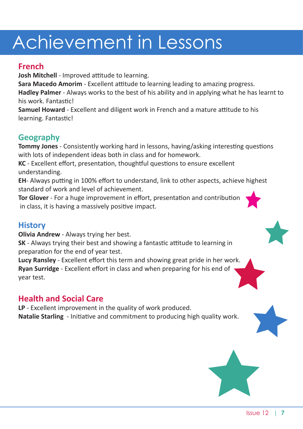### **French**

**Josh Mitchell** - Improved attitude to learning.

**Sara Macedo Amorim** - Excellent attitude to learning leading to amazing progress.

**Hadley Palmer** - Always works to the best of his ability and in applying what he has learnt to his work. Fantastic!

**Samuel Howard** - Excellent and diligent work in French and a mature attitude to his learning. Fantastic!

# **Geography**

**Tommy Jones** - Consistently working hard in lessons, having/asking interesting questions with lots of independent ideas both in class and for homework.

**KC** - Excellent effort, presentation, thoughtful questions to ensure excellent understanding.

**EH**- Always putting in 100% effort to understand, link to other aspects, achieve highest standard of work and level of achievement.

**Tor Glover** - For a huge improvement in effort, presentation and contribution in class, it is having a massively positive impact.

# **History**

**Olivia Andrew** - Always trying her best.

**SK** - Always trying their best and showing a fantastic attitude to learning in preparation for the end of year test.

**Lucy Ransley** - Excellent effort this term and showing great pride in her work. **Ryan Surridge** - Excellent effort in class and when preparing for his end of year test.

# **Health and Social Care**

**LP** - Excellent improvement in the quality of work produced. **Natalie Starling** - Initiative and commitment to producing high quality work.

![](_page_6_Picture_17.jpeg)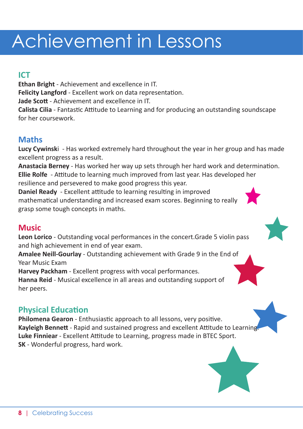# **ICT**

**Ethan Bright** - Achievement and excellence in IT. **Felicity Langford** - Excellent work on data representation. **Jade Scott** - Achievement and excellence in IT. **Calista Cilia** - Fantastic Attitude to Learning and for producing an outstanding soundscape for her coursework.

### **Maths**

**Lucy Cywinsk**i - Has worked extremely hard throughout the year in her group and has made excellent progress as a result.

**Anastacia Berney** - Has worked her way up sets through her hard work and determination. **Ellie Rolfe** - Attitude to learning much improved from last year. Has developed her resilience and persevered to make good progress this year.

**Daniel Ready** - Excellent attitude to learning resulting in improved mathematical understanding and increased exam scores. Beginning to really grasp some tough concepts in maths.

#### **Music**

**Leon Lorico** - Outstanding vocal performances in the concert.Grade 5 violin pass and high achievement in end of year exam.

**Amalee Neill-Gourlay** - Outstanding achievement with Grade 9 in the End of Year Music Exam

**Harvey Packham** - Excellent progress with vocal performances.

**Hanna Reid** - Musical excellence in all areas and outstanding support of her peers.

# **Physical Education**

**Philomena Gearon** - Enthusiastic approach to all lessons, very positive. **Kayleigh Bennett** - Rapid and sustained progress and excellent Attitude to Learning. **Luke Finniear** - Excellent Attitude to Learning, progress made in BTEC Sport. **SK** - Wonderful progress, hard work.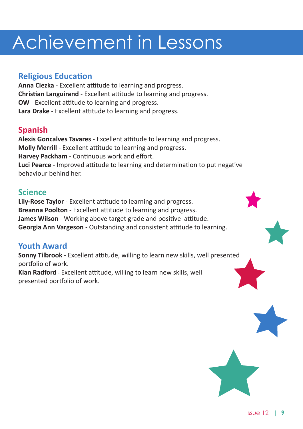# **Religious Education**

**Anna Ciezka** - Excellent attitude to learning and progress. **Christian Languirand** - Excellent attitude to learning and progress. **OW** - Excellent attitude to learning and progress. **Lara Drake** - Excellent attitude to learning and progress.

# **Spanish**

**Alexis Goncalves Tavares** - Excellent attitude to learning and progress. **Molly Merrill** - Excellent attitude to learning and progress. **Harvey Packham** - Continuous work and effort. **Luci Pearce** - Improved attitude to learning and determination to put negative behaviour behind her.

### **Science**

**Lily-Rose Taylor** - Excellent attitude to learning and progress. **Breanna Poolton** - Excellent attitude to learning and progress. **James Wilson** - Working above target grade and positive attitude. **Georgia Ann Vargeson** - Outstanding and consistent attitude to learning.

#### **Youth Award**

**Sonny Tilbrook** - Excellent attitude, willing to learn new skills, well presented portfolio of work.

**Kian Radford** - Excellent attitude, willing to learn new skills, well presented portfolio of work.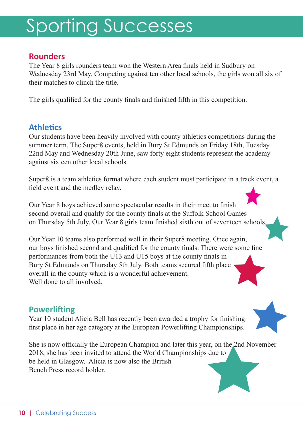# Sporting Successes

#### **Rounders**

The Year 8 girls rounders team won the Western Area finals held in Sudbury on Wednesday 23rd May. Competing against ten other local schools, the girls won all six of their matches to clinch the title.

The girls qualified for the county finals and finished fifth in this competition.

#### **Athletics**

Our students have been heavily involved with county athletics competitions during the summer term. The Super8 events, held in Bury St Edmunds on Friday 18th, Tuesday 22nd May and Wednesday 20th June, saw forty eight students represent the academy against sixteen other local schools.

Super8 is a team athletics format where each student must participate in a track event, a field event and the medley relay.

Our Year 8 boys achieved some spectacular results in their meet to finish second overall and qualify for the county finals at the Suffolk School Games on Thursday 5th July. Our Year 8 girls team finished sixth out of seventeen schools.

Our Year 10 teams also performed well in their Super8 meeting. Once again, our boys finished second and qualified for the county finals. There were some fine performances from both the U13 and U15 boys at the county finals in Bury St Edmunds on Thursday 5th July. Both teams secured fifth place overall in the county which is a wonderful achievement. Well done to all involved.

#### **Powerlifting**

Year 10 student Alicia Bell has recently been awarded a trophy for finishing first place in her age category at the European Powerlifting Championships.

She is now officially the European Champion and later this year, on the 2nd November 2018, she has been invited to attend the World Championships due to be held in Glasgow. Alicia is now also the British Bench Press record holder.